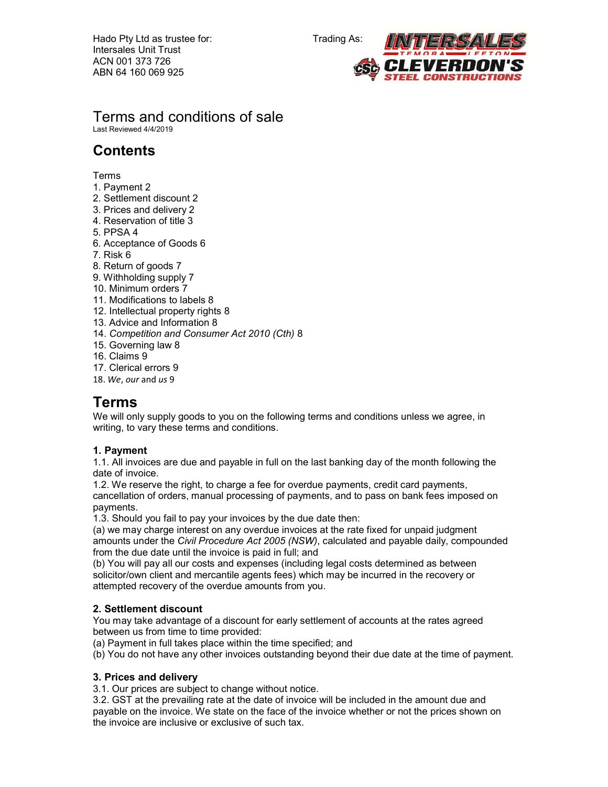

Terms and conditions of sale Last Reviewed 4/4/2019

# **Contents**

Terms

- 1. Payment 2
- 2. Settlement discount 2
- 3. Prices and delivery 2
- 4. Reservation of title 3
- 5. PPSA 4
- 6. Acceptance of Goods 6
- 7. Risk 6
- 8. Return of goods 7
- 9. Withholding supply 7
- 10. Minimum orders 7
- 11. Modifications to labels 8
- 12. Intellectual property rights 8
- 13. Advice and Information 8
- 14. Competition and Consumer Act 2010 (Cth) 8
- 15. Governing law 8
- 16. Claims 9
- 17. Clerical errors 9
- 18. We, our and us 9

# Terms

We will only supply goods to you on the following terms and conditions unless we agree, in writing, to vary these terms and conditions.

# 1. Payment

1.1. All invoices are due and payable in full on the last banking day of the month following the date of invoice.

1.2. We reserve the right, to charge a fee for overdue payments, credit card payments, cancellation of orders, manual processing of payments, and to pass on bank fees imposed on payments.

1.3. Should you fail to pay your invoices by the due date then:

(a) we may charge interest on any overdue invoices at the rate fixed for unpaid judgment amounts under the Civil Procedure Act 2005 (NSW), calculated and payable daily, compounded from the due date until the invoice is paid in full; and

(b) You will pay all our costs and expenses (including legal costs determined as between solicitor/own client and mercantile agents fees) which may be incurred in the recovery or attempted recovery of the overdue amounts from you.

# 2. Settlement discount

You may take advantage of a discount for early settlement of accounts at the rates agreed between us from time to time provided:

(a) Payment in full takes place within the time specified; and

(b) You do not have any other invoices outstanding beyond their due date at the time of payment.

# 3. Prices and delivery

3.1. Our prices are subject to change without notice.

3.2. GST at the prevailing rate at the date of invoice will be included in the amount due and payable on the invoice. We state on the face of the invoice whether or not the prices shown on the invoice are inclusive or exclusive of such tax.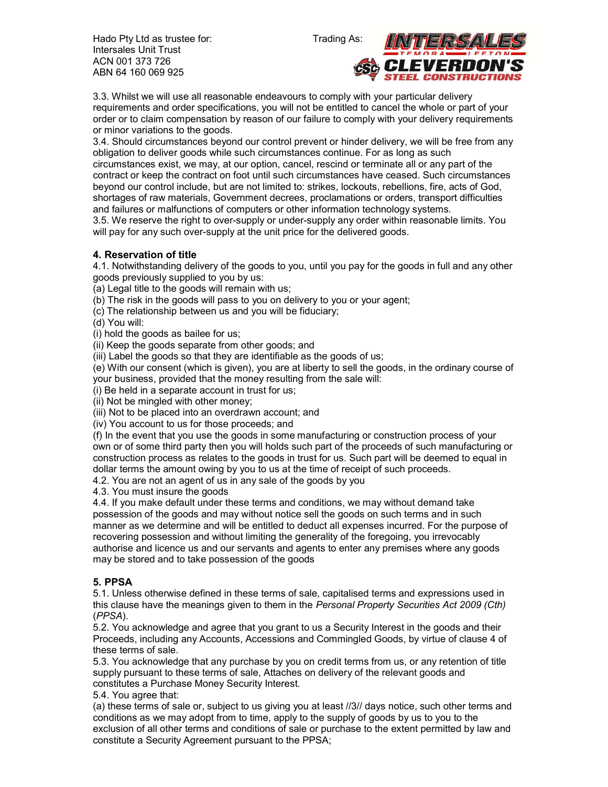

3.3. Whilst we will use all reasonable endeavours to comply with your particular delivery requirements and order specifications, you will not be entitled to cancel the whole or part of your order or to claim compensation by reason of our failure to comply with your delivery requirements or minor variations to the goods.

3.4. Should circumstances beyond our control prevent or hinder delivery, we will be free from any obligation to deliver goods while such circumstances continue. For as long as such circumstances exist, we may, at our option, cancel, rescind or terminate all or any part of the contract or keep the contract on foot until such circumstances have ceased. Such circumstances beyond our control include, but are not limited to: strikes, lockouts, rebellions, fire, acts of God, shortages of raw materials, Government decrees, proclamations or orders, transport difficulties and failures or malfunctions of computers or other information technology systems.

3.5. We reserve the right to over-supply or under-supply any order within reasonable limits. You will pay for any such over-supply at the unit price for the delivered goods.

# 4. Reservation of title

4.1. Notwithstanding delivery of the goods to you, until you pay for the goods in full and any other goods previously supplied to you by us:

(a) Legal title to the goods will remain with us;

(b) The risk in the goods will pass to you on delivery to you or your agent;

(c) The relationship between us and you will be fiduciary;

(d) You will:

(i) hold the goods as bailee for us;

(ii) Keep the goods separate from other goods; and

(iii) Label the goods so that they are identifiable as the goods of us;

(e) With our consent (which is given), you are at liberty to sell the goods, in the ordinary course of your business, provided that the money resulting from the sale will:

(i) Be held in a separate account in trust for us;

(ii) Not be mingled with other money;

(iii) Not to be placed into an overdrawn account; and

(iv) You account to us for those proceeds; and

(f) In the event that you use the goods in some manufacturing or construction process of your own or of some third party then you will holds such part of the proceeds of such manufacturing or construction process as relates to the goods in trust for us. Such part will be deemed to equal in dollar terms the amount owing by you to us at the time of receipt of such proceeds.

4.2. You are not an agent of us in any sale of the goods by you

4.3. You must insure the goods

4.4. If you make default under these terms and conditions, we may without demand take possession of the goods and may without notice sell the goods on such terms and in such manner as we determine and will be entitled to deduct all expenses incurred. For the purpose of recovering possession and without limiting the generality of the foregoing, you irrevocably authorise and licence us and our servants and agents to enter any premises where any goods may be stored and to take possession of the goods

### 5. PPSA

5.1. Unless otherwise defined in these terms of sale, capitalised terms and expressions used in this clause have the meanings given to them in the Personal Property Securities Act 2009 (Cth) (PPSA).

5.2. You acknowledge and agree that you grant to us a Security Interest in the goods and their Proceeds, including any Accounts, Accessions and Commingled Goods, by virtue of clause 4 of these terms of sale.

5.3. You acknowledge that any purchase by you on credit terms from us, or any retention of title supply pursuant to these terms of sale, Attaches on delivery of the relevant goods and constitutes a Purchase Money Security Interest.

5.4. You agree that:

(a) these terms of sale or, subject to us giving you at least //3// days notice, such other terms and conditions as we may adopt from to time, apply to the supply of goods by us to you to the exclusion of all other terms and conditions of sale or purchase to the extent permitted by law and constitute a Security Agreement pursuant to the PPSA;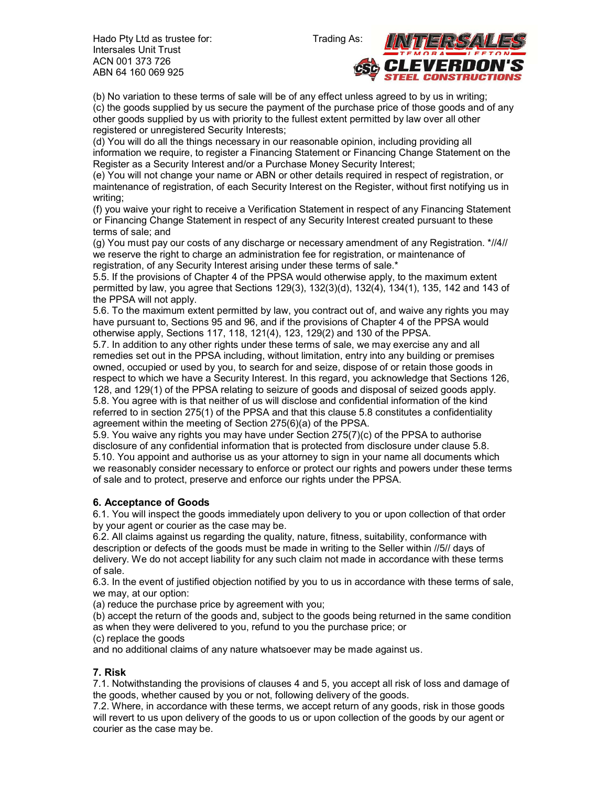

(b) No variation to these terms of sale will be of any effect unless agreed to by us in writing; (c) the goods supplied by us secure the payment of the purchase price of those goods and of any other goods supplied by us with priority to the fullest extent permitted by law over all other registered or unregistered Security Interests;

(d) You will do all the things necessary in our reasonable opinion, including providing all information we require, to register a Financing Statement or Financing Change Statement on the Register as a Security Interest and/or a Purchase Money Security Interest;

(e) You will not change your name or ABN or other details required in respect of registration, or maintenance of registration, of each Security Interest on the Register, without first notifying us in writing;

(f) you waive your right to receive a Verification Statement in respect of any Financing Statement or Financing Change Statement in respect of any Security Interest created pursuant to these terms of sale; and

(g) You must pay our costs of any discharge or necessary amendment of any Registration. \*//4// we reserve the right to charge an administration fee for registration, or maintenance of registration, of any Security Interest arising under these terms of sale.\*

5.5. If the provisions of Chapter 4 of the PPSA would otherwise apply, to the maximum extent permitted by law, you agree that Sections 129(3), 132(3)(d), 132(4), 134(1), 135, 142 and 143 of the PPSA will not apply.

5.6. To the maximum extent permitted by law, you contract out of, and waive any rights you may have pursuant to, Sections 95 and 96, and if the provisions of Chapter 4 of the PPSA would otherwise apply, Sections 117, 118, 121(4), 123, 129(2) and 130 of the PPSA.

5.7. In addition to any other rights under these terms of sale, we may exercise any and all remedies set out in the PPSA including, without limitation, entry into any building or premises owned, occupied or used by you, to search for and seize, dispose of or retain those goods in respect to which we have a Security Interest. In this regard, you acknowledge that Sections 126, 128, and 129(1) of the PPSA relating to seizure of goods and disposal of seized goods apply. 5.8. You agree with is that neither of us will disclose and confidential information of the kind referred to in section 275(1) of the PPSA and that this clause 5.8 constitutes a confidentiality agreement within the meeting of Section 275(6)(a) of the PPSA.

5.9. You waive any rights you may have under Section 275(7)(c) of the PPSA to authorise disclosure of any confidential information that is protected from disclosure under clause 5.8. 5.10. You appoint and authorise us as your attorney to sign in your name all documents which we reasonably consider necessary to enforce or protect our rights and powers under these terms of sale and to protect, preserve and enforce our rights under the PPSA.

# 6. Acceptance of Goods

6.1. You will inspect the goods immediately upon delivery to you or upon collection of that order by your agent or courier as the case may be.

6.2. All claims against us regarding the quality, nature, fitness, suitability, conformance with description or defects of the goods must be made in writing to the Seller within //5// days of delivery. We do not accept liability for any such claim not made in accordance with these terms of sale.

6.3. In the event of justified objection notified by you to us in accordance with these terms of sale, we may, at our option:

(a) reduce the purchase price by agreement with you;

(b) accept the return of the goods and, subject to the goods being returned in the same condition as when they were delivered to you, refund to you the purchase price; or

(c) replace the goods

and no additional claims of any nature whatsoever may be made against us.

### 7. Risk

7.1. Notwithstanding the provisions of clauses 4 and 5, you accept all risk of loss and damage of the goods, whether caused by you or not, following delivery of the goods.

7.2. Where, in accordance with these terms, we accept return of any goods, risk in those goods will revert to us upon delivery of the goods to us or upon collection of the goods by our agent or courier as the case may be.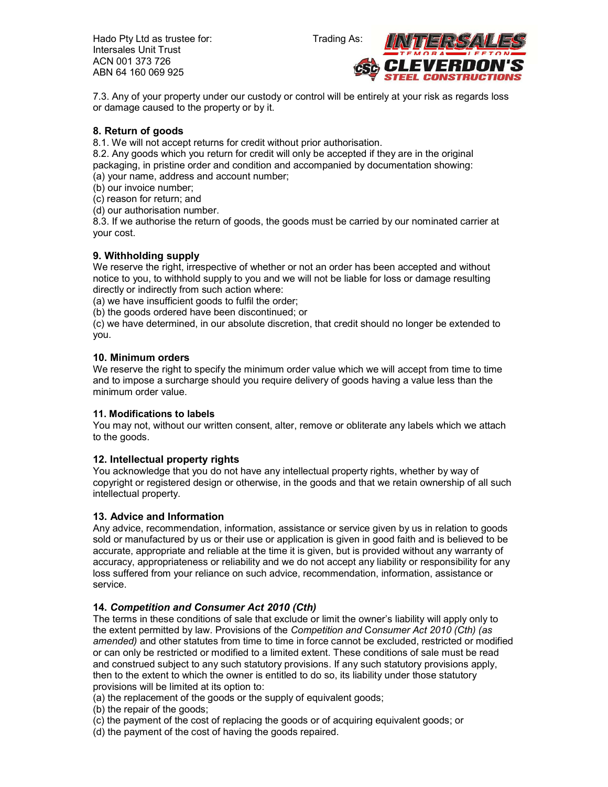



7.3. Any of your property under our custody or control will be entirely at your risk as regards loss or damage caused to the property or by it.

### 8. Return of goods

8.1. We will not accept returns for credit without prior authorisation.

8.2. Any goods which you return for credit will only be accepted if they are in the original packaging, in pristine order and condition and accompanied by documentation showing: (a) your name, address and account number;

(b) our invoice number;

(c) reason for return; and

(d) our authorisation number.

8.3. If we authorise the return of goods, the goods must be carried by our nominated carrier at your cost.

### 9. Withholding supply

We reserve the right, irrespective of whether or not an order has been accepted and without notice to you, to withhold supply to you and we will not be liable for loss or damage resulting directly or indirectly from such action where:

(a) we have insufficient goods to fulfil the order;

(b) the goods ordered have been discontinued; or

(c) we have determined, in our absolute discretion, that credit should no longer be extended to you.

#### 10. Minimum orders

We reserve the right to specify the minimum order value which we will accept from time to time and to impose a surcharge should you require delivery of goods having a value less than the minimum order value.

#### 11. Modifications to labels

You may not, without our written consent, alter, remove or obliterate any labels which we attach to the goods.

#### 12. Intellectual property rights

You acknowledge that you do not have any intellectual property rights, whether by way of copyright or registered design or otherwise, in the goods and that we retain ownership of all such intellectual property.

#### 13. Advice and Information

Any advice, recommendation, information, assistance or service given by us in relation to goods sold or manufactured by us or their use or application is given in good faith and is believed to be accurate, appropriate and reliable at the time it is given, but is provided without any warranty of accuracy, appropriateness or reliability and we do not accept any liability or responsibility for any loss suffered from your reliance on such advice, recommendation, information, assistance or service.

#### 14. Competition and Consumer Act 2010 (Cth)

The terms in these conditions of sale that exclude or limit the owner's liability will apply only to the extent permitted by law. Provisions of the Competition and Consumer Act 2010 (Cth) (as amended) and other statutes from time to time in force cannot be excluded, restricted or modified or can only be restricted or modified to a limited extent. These conditions of sale must be read and construed subject to any such statutory provisions. If any such statutory provisions apply, then to the extent to which the owner is entitled to do so, its liability under those statutory provisions will be limited at its option to:

(a) the replacement of the goods or the supply of equivalent goods;

(b) the repair of the goods;

(c) the payment of the cost of replacing the goods or of acquiring equivalent goods; or

(d) the payment of the cost of having the goods repaired.